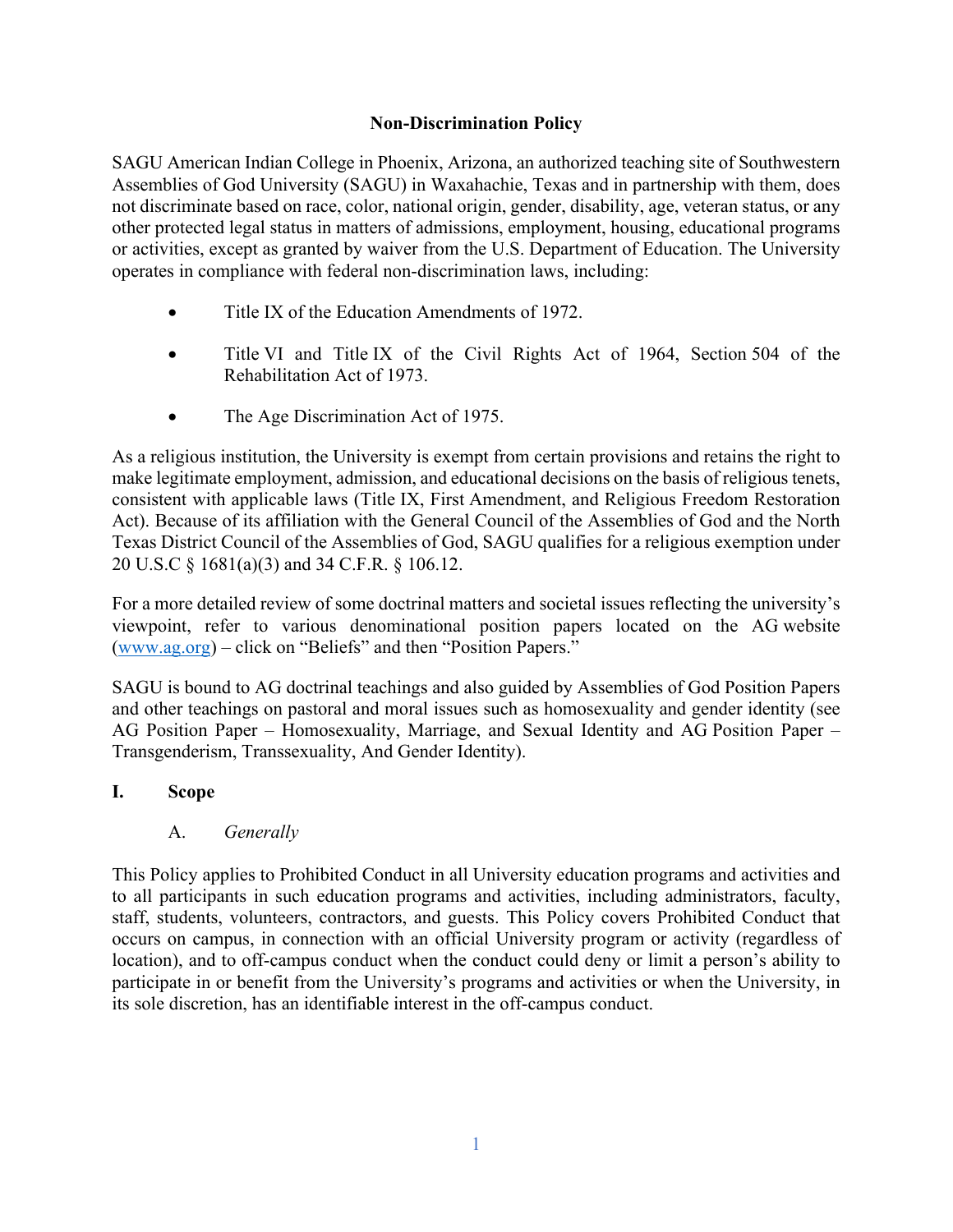#### **Non-Discrimination Policy**

SAGU American Indian College in Phoenix, Arizona, an authorized teaching site of Southwestern Assemblies of God University (SAGU) in Waxahachie, Texas and in partnership with them, does not discriminate based on race, color, national origin, gender, disability, age, veteran status, or any other protected legal status in matters of admissions, employment, housing, educational programs or activities, except as granted by waiver from the U.S. Department of Education. The University operates in compliance with federal non-discrimination laws, including:

- Title IX of the Education Amendments of 1972.
- Title VI and Title IX of the Civil Rights Act of 1964, Section 504 of the Rehabilitation Act of 1973.
- The Age Discrimination Act of 1975.

As a religious institution, the University is exempt from certain provisions and retains the right to make legitimate employment, admission, and educational decisions on the basis of religious tenets, consistent with applicable laws (Title IX, First Amendment, and Religious Freedom Restoration Act). Because of its affiliation with the General Council of the Assemblies of God and the North Texas District Council of the Assemblies of God, SAGU qualifies for a religious exemption under 20 U.S.C § 1681(a)(3) and 34 C.F.R. § 106.12.

For a more detailed review of some doctrinal matters and societal issues reflecting the university's viewpoint, refer to various denominational position papers located on the AG website (www.ag.org) – click on "Beliefs" and then "Position Papers."

SAGU is bound to AG doctrinal teachings and also guided by Assemblies of God Position Papers and other teachings on pastoral and moral issues such as homosexuality and gender identity (see AG Position Paper – Homosexuality, Marriage, and Sexual Identity and AG Position Paper – Transgenderism, Transsexuality, And Gender Identity).

#### **I. Scope**

A. *Generally*

This Policy applies to Prohibited Conduct in all University education programs and activities and to all participants in such education programs and activities, including administrators, faculty, staff, students, volunteers, contractors, and guests. This Policy covers Prohibited Conduct that occurs on campus, in connection with an official University program or activity (regardless of location), and to off-campus conduct when the conduct could deny or limit a person's ability to participate in or benefit from the University's programs and activities or when the University, in its sole discretion, has an identifiable interest in the off-campus conduct.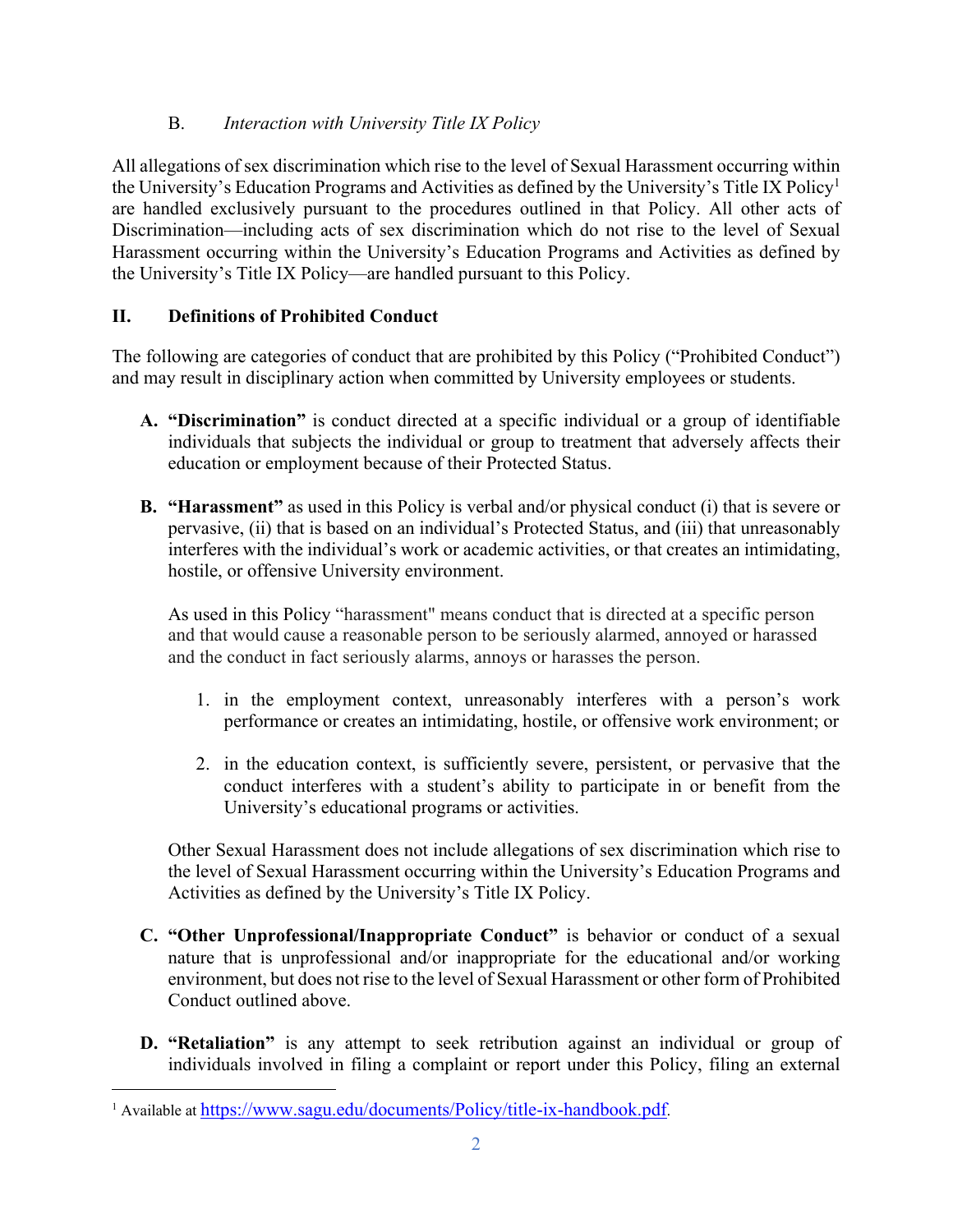### B. *Interaction with University Title IX Policy*

All allegations of sex discrimination which rise to the level of Sexual Harassment occurring within the University's Education Programs and Activities as defined by the University's Title IX Policy1 are handled exclusively pursuant to the procedures outlined in that Policy. All other acts of Discrimination—including acts of sex discrimination which do not rise to the level of Sexual Harassment occurring within the University's Education Programs and Activities as defined by the University's Title IX Policy—are handled pursuant to this Policy.

### **II. Definitions of Prohibited Conduct**

The following are categories of conduct that are prohibited by this Policy ("Prohibited Conduct") and may result in disciplinary action when committed by University employees or students.

- **A. "Discrimination"** is conduct directed at a specific individual or a group of identifiable individuals that subjects the individual or group to treatment that adversely affects their education or employment because of their Protected Status.
- **B. "Harassment"** as used in this Policy is verbal and/or physical conduct (i) that is severe or pervasive, (ii) that is based on an individual's Protected Status, and (iii) that unreasonably interferes with the individual's work or academic activities, or that creates an intimidating, hostile, or offensive University environment.

As used in this Policy "harassment" means conduct that is directed at a specific person and that would cause a reasonable person to be seriously alarmed, annoyed or harassed and the conduct in fact seriously alarms, annoys or harasses the person.

- 1. in the employment context, unreasonably interferes with a person's work performance or creates an intimidating, hostile, or offensive work environment; or
- 2. in the education context, is sufficiently severe, persistent, or pervasive that the conduct interferes with a student's ability to participate in or benefit from the University's educational programs or activities.

Other Sexual Harassment does not include allegations of sex discrimination which rise to the level of Sexual Harassment occurring within the University's Education Programs and Activities as defined by the University's Title IX Policy.

- **C. "Other Unprofessional/Inappropriate Conduct"** is behavior or conduct of a sexual nature that is unprofessional and/or inappropriate for the educational and/or working environment, but does not rise to the level of Sexual Harassment or other form of Prohibited Conduct outlined above.
- **D. "Retaliation"** is any attempt to seek retribution against an individual or group of individuals involved in filing a complaint or report under this Policy, filing an external

<sup>&</sup>lt;sup>1</sup> Available at https://www.sagu.edu/documents/Policy/title-ix-handbook.pdf.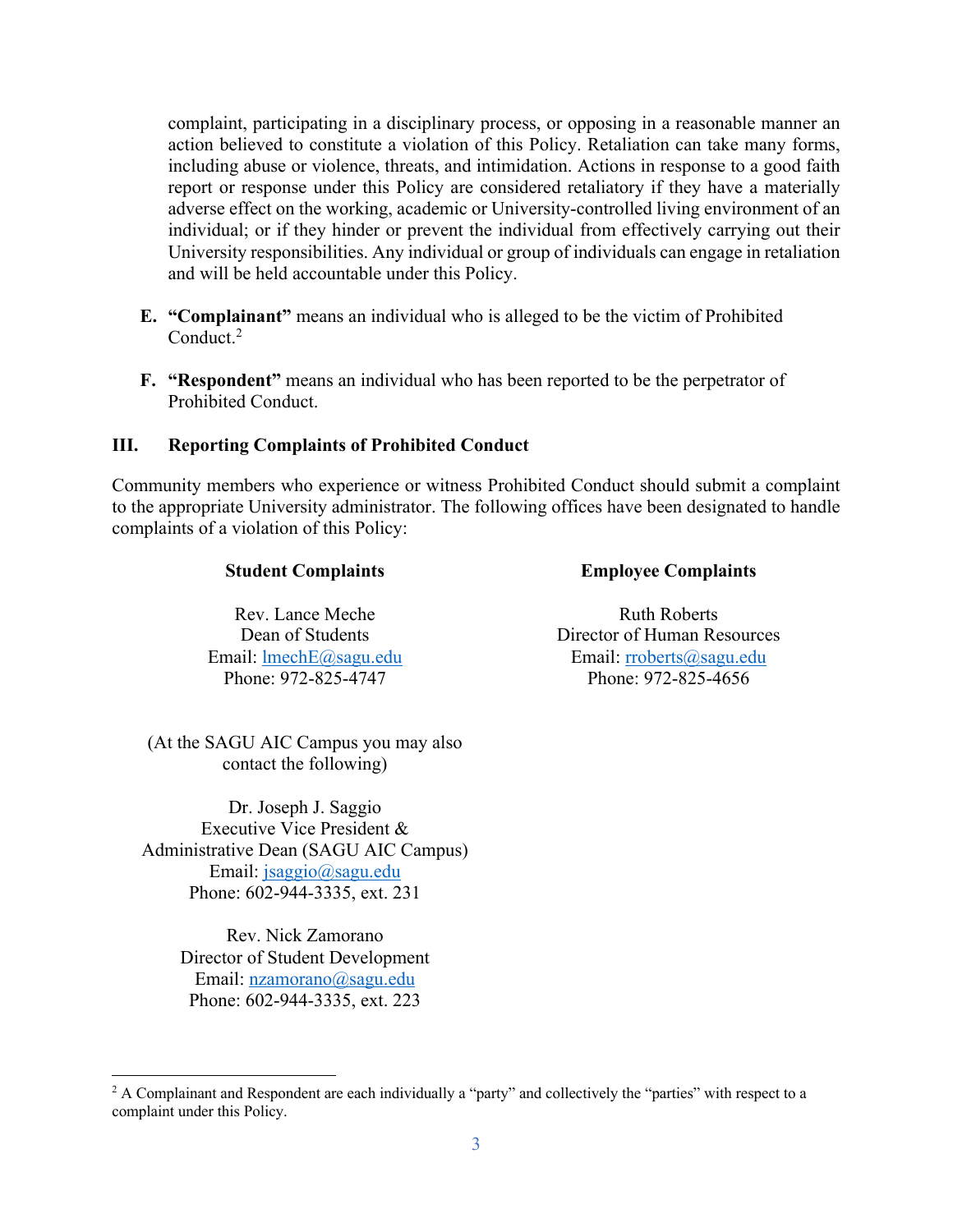complaint, participating in a disciplinary process, or opposing in a reasonable manner an action believed to constitute a violation of this Policy. Retaliation can take many forms, including abuse or violence, threats, and intimidation. Actions in response to a good faith report or response under this Policy are considered retaliatory if they have a materially adverse effect on the working, academic or University-controlled living environment of an individual; or if they hinder or prevent the individual from effectively carrying out their University responsibilities. Any individual or group of individuals can engage in retaliation and will be held accountable under this Policy.

- **E. "Complainant"** means an individual who is alleged to be the victim of Prohibited Conduct.2
- **F. "Respondent"** means an individual who has been reported to be the perpetrator of Prohibited Conduct.

#### **III. Reporting Complaints of Prohibited Conduct**

Community members who experience or witness Prohibited Conduct should submit a complaint to the appropriate University administrator. The following offices have been designated to handle complaints of a violation of this Policy:

| <b>Student Complaints</b> | <b>Employee Complaints</b> |
|---------------------------|----------------------------|
|                           |                            |

Rev. Lance Meche Dean of Students Email: lmechE@sagu.edu Phone: 972-825-4747

Ruth Roberts Director of Human Resources Email: rroberts@sagu.edu Phone: 972-825-4656

(At the SAGU AIC Campus you may also contact the following)

Dr. Joseph J. Saggio Executive Vice President & Administrative Dean (SAGU AIC Campus) Email: jsaggio@sagu.edu Phone: 602-944-3335, ext. 231

> Rev. Nick Zamorano Director of Student Development Email: nzamorano@sagu.edu Phone: 602-944-3335, ext. 223

<sup>&</sup>lt;sup>2</sup> A Complainant and Respondent are each individually a "party" and collectively the "parties" with respect to a complaint under this Policy.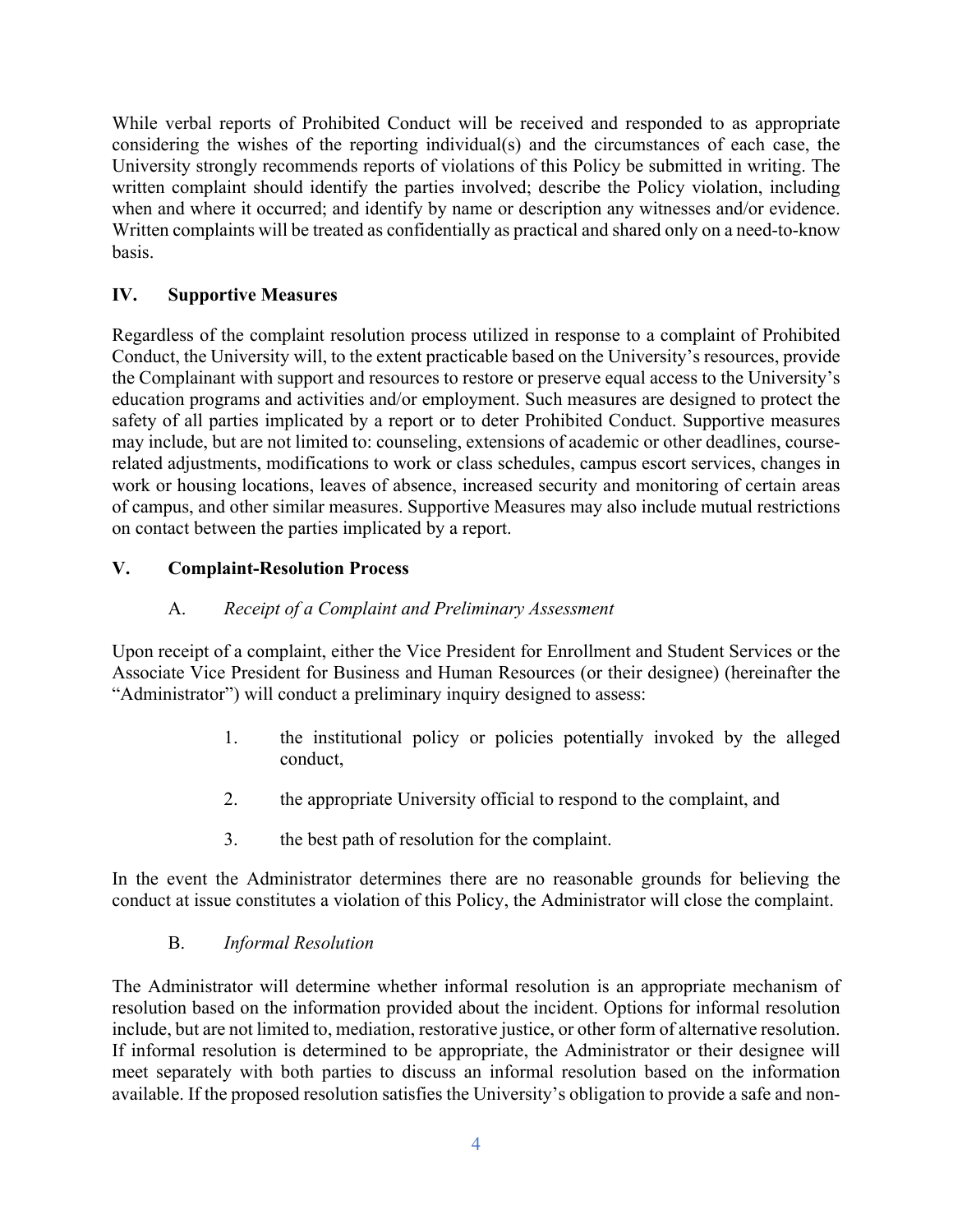While verbal reports of Prohibited Conduct will be received and responded to as appropriate considering the wishes of the reporting individual(s) and the circumstances of each case, the University strongly recommends reports of violations of this Policy be submitted in writing. The written complaint should identify the parties involved; describe the Policy violation, including when and where it occurred; and identify by name or description any witnesses and/or evidence. Written complaints will be treated as confidentially as practical and shared only on a need-to-know basis.

### **IV. Supportive Measures**

Regardless of the complaint resolution process utilized in response to a complaint of Prohibited Conduct, the University will, to the extent practicable based on the University's resources, provide the Complainant with support and resources to restore or preserve equal access to the University's education programs and activities and/or employment. Such measures are designed to protect the safety of all parties implicated by a report or to deter Prohibited Conduct. Supportive measures may include, but are not limited to: counseling, extensions of academic or other deadlines, courserelated adjustments, modifications to work or class schedules, campus escort services, changes in work or housing locations, leaves of absence, increased security and monitoring of certain areas of campus, and other similar measures. Supportive Measures may also include mutual restrictions on contact between the parties implicated by a report.

#### **V. Complaint-Resolution Process**

#### A. *Receipt of a Complaint and Preliminary Assessment*

Upon receipt of a complaint, either the Vice President for Enrollment and Student Services or the Associate Vice President for Business and Human Resources (or their designee) (hereinafter the "Administrator") will conduct a preliminary inquiry designed to assess:

- 1. the institutional policy or policies potentially invoked by the alleged conduct,
- 2. the appropriate University official to respond to the complaint, and
- 3. the best path of resolution for the complaint.

In the event the Administrator determines there are no reasonable grounds for believing the conduct at issue constitutes a violation of this Policy, the Administrator will close the complaint.

#### B. *Informal Resolution*

The Administrator will determine whether informal resolution is an appropriate mechanism of resolution based on the information provided about the incident. Options for informal resolution include, but are not limited to, mediation, restorative justice, or other form of alternative resolution. If informal resolution is determined to be appropriate, the Administrator or their designee will meet separately with both parties to discuss an informal resolution based on the information available. If the proposed resolution satisfies the University's obligation to provide a safe and non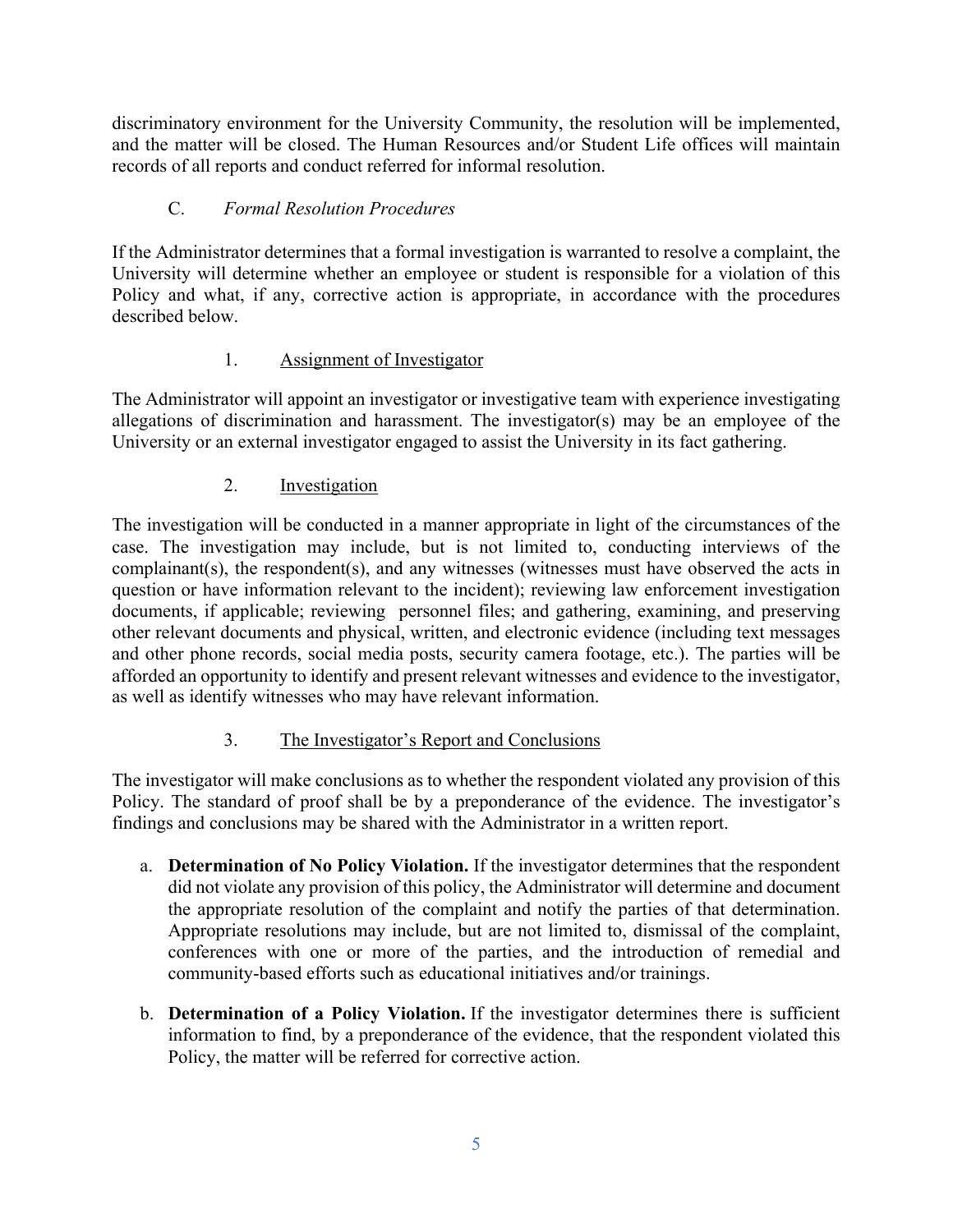discriminatory environment for the University Community, the resolution will be implemented, and the matter will be closed. The Human Resources and/or Student Life offices will maintain records of all reports and conduct referred for informal resolution.

## C. *Formal Resolution Procedures*

If the Administrator determines that a formal investigation is warranted to resolve a complaint, the University will determine whether an employee or student is responsible for a violation of this Policy and what, if any, corrective action is appropriate, in accordance with the procedures described below.

## 1. Assignment of Investigator

The Administrator will appoint an investigator or investigative team with experience investigating allegations of discrimination and harassment. The investigator(s) may be an employee of the University or an external investigator engaged to assist the University in its fact gathering.

# 2. Investigation

The investigation will be conducted in a manner appropriate in light of the circumstances of the case. The investigation may include, but is not limited to, conducting interviews of the complainant(s), the respondent(s), and any witnesses (witnesses must have observed the acts in question or have information relevant to the incident); reviewing law enforcement investigation documents, if applicable; reviewing personnel files; and gathering, examining, and preserving other relevant documents and physical, written, and electronic evidence (including text messages and other phone records, social media posts, security camera footage, etc.). The parties will be afforded an opportunity to identify and present relevant witnesses and evidence to the investigator, as well as identify witnesses who may have relevant information.

# 3. The Investigator's Report and Conclusions

The investigator will make conclusions as to whether the respondent violated any provision of this Policy. The standard of proof shall be by a preponderance of the evidence. The investigator's findings and conclusions may be shared with the Administrator in a written report.

- a. **Determination of No Policy Violation.** If the investigator determines that the respondent did not violate any provision of this policy, the Administrator will determine and document the appropriate resolution of the complaint and notify the parties of that determination. Appropriate resolutions may include, but are not limited to, dismissal of the complaint, conferences with one or more of the parties, and the introduction of remedial and community-based efforts such as educational initiatives and/or trainings.
- b. **Determination of a Policy Violation.** If the investigator determines there is sufficient information to find, by a preponderance of the evidence, that the respondent violated this Policy, the matter will be referred for corrective action.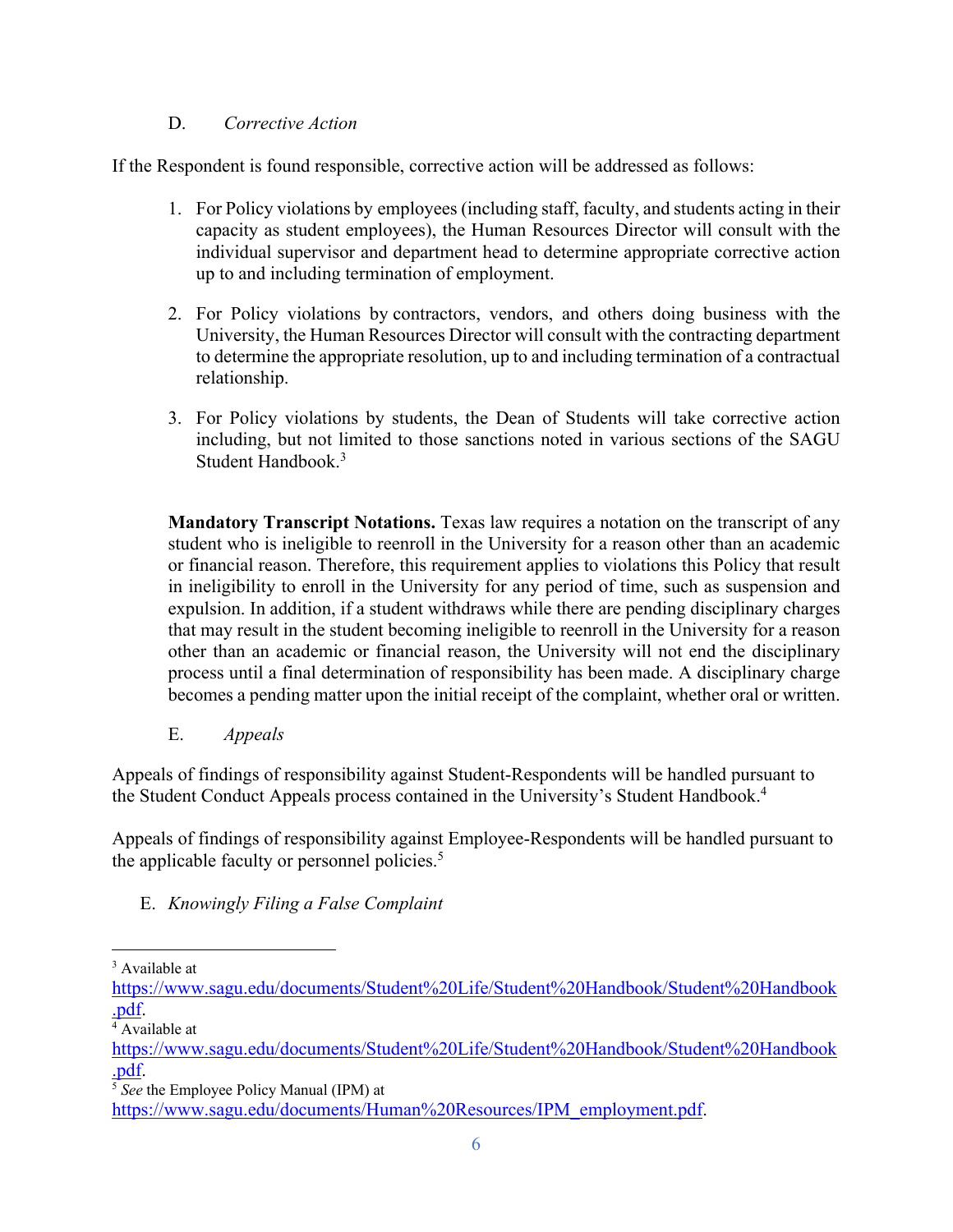#### D. *Corrective Action*

If the Respondent is found responsible, corrective action will be addressed as follows:

- 1. For Policy violations by employees (including staff, faculty, and students acting in their capacity as student employees), the Human Resources Director will consult with the individual supervisor and department head to determine appropriate corrective action up to and including termination of employment.
- 2. For Policy violations by contractors, vendors, and others doing business with the University, the Human Resources Director will consult with the contracting department to determine the appropriate resolution, up to and including termination of a contractual relationship.
- 3. For Policy violations by students, the Dean of Students will take corrective action including, but not limited to those sanctions noted in various sections of the SAGU Student Handbook.3

**Mandatory Transcript Notations.** Texas law requires a notation on the transcript of any student who is ineligible to reenroll in the University for a reason other than an academic or financial reason. Therefore, this requirement applies to violations this Policy that result in ineligibility to enroll in the University for any period of time, such as suspension and expulsion. In addition, if a student withdraws while there are pending disciplinary charges that may result in the student becoming ineligible to reenroll in the University for a reason other than an academic or financial reason, the University will not end the disciplinary process until a final determination of responsibility has been made. A disciplinary charge becomes a pending matter upon the initial receipt of the complaint, whether oral or written.

E. *Appeals*

Appeals of findings of responsibility against Student-Respondents will be handled pursuant to the Student Conduct Appeals process contained in the University's Student Handbook.4

Appeals of findings of responsibility against Employee-Respondents will be handled pursuant to the applicable faculty or personnel policies.<sup>5</sup>

E. *Knowingly Filing a False Complaint*

<sup>3</sup> Available at

https://www.sagu.edu/documents/Student%20Life/Student%20Handbook/Student%20Handbook .pdf.

<sup>&</sup>lt;sup>4</sup> Available at

https://www.sagu.edu/documents/Student%20Life/Student%20Handbook/Student%20Handbook .pdf.

<sup>5</sup> *See* the Employee Policy Manual (IPM) at

https://www.sagu.edu/documents/Human%20Resources/IPM\_employment.pdf.